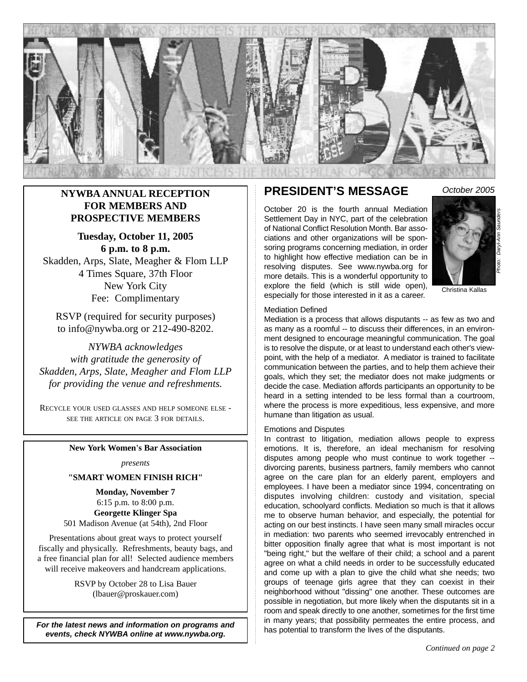

### **NYWBA ANNUAL RECEPTION FOR MEMBERS AND PROSPECTIVE MEMBERS**

**Tuesday, October 11, 2005 6 p.m. to 8 p.m.**

Skadden, Arps, Slate, Meagher & Flom LLP 4 Times Square, 37th Floor New York City Fee: Complimentary

RSVP (required for security purposes) to info@nywba.org or 212-490-8202.

*NYWBA acknowledges with gratitude the generosity of Skadden, Arps, Slate, Meagher and Flom LLP for providing the venue and refreshments.*

RECYCLE YOUR USED GLASSES AND HELP SOMEONE ELSE - SEE THE ARTICLE ON PAGE 3 FOR DETAILS.

### **New York Women's Bar Association**

*presents*

**"SMART WOMEN FINISH RICH"**

**Monday, November 7** 6:15 p.m. to 8:00 p.m. **Georgette Klinger Spa** 501 Madison Avenue (at 54th), 2nd Floor

Presentations about great ways to protect yourself fiscally and physically. Refreshments, beauty bags, and a free financial plan for all! Selected audience members will receive makeovers and handcream applications.

> RSVP by October 28 to Lisa Bauer (lbauer@proskauer.com)

*For the latest news and information on programs and events, check NYWBA online at www.nywba.org.*

### **PRESIDENT'S MESSAGE** *October 2005*

October 20 is the fourth annual Mediation Settlement Day in NYC, part of the celebration of National Conflict Resolution Month. Bar associations and other organizations will be sponsoring programs concerning mediation, in order to highlight how effective mediation can be in resolving disputes. See www.nywba.org for more details. This is a wonderful opportunity to explore the field (which is still wide open), especially for those interested in it as a career.





*Photo: Daryl-Ann Saunders*

Daryl-Ann Saunder.

Christina Kallas

### Mediation Defined

Mediation is a process that allows disputants -- as few as two and as many as a roomful -- to discuss their differences, in an environment designed to encourage meaningful communication. The goal is to resolve the dispute, or at least to understand each other's viewpoint, with the help of a mediator. A mediator is trained to facilitate communication between the parties, and to help them achieve their goals, which they set; the mediator does not make judgments or decide the case. Mediation affords participants an opportunity to be heard in a setting intended to be less formal than a courtroom, where the process is more expeditious, less expensive, and more humane than litigation as usual.

### Emotions and Disputes

In contrast to litigation, mediation allows people to express emotions. It is, therefore, an ideal mechanism for resolving disputes among people who must continue to work together - divorcing parents, business partners, family members who cannot agree on the care plan for an elderly parent, employers and employees. I have been a mediator since 1994, concentrating on disputes involving children: custody and visitation, special education, schoolyard conflicts. Mediation so much is that it allows me to observe human behavior, and especially, the potential for acting on our best instincts. I have seen many small miracles occur in mediation: two parents who seemed irrevocably entrenched in bitter opposition finally agree that what is most important is not "being right," but the welfare of their child; a school and a parent agree on what a child needs in order to be successfully educated and come up with a plan to give the child what she needs; two groups of teenage girls agree that they can coexist in their neighborhood without "dissing" one another. These outcomes are possible in negotiation, but more likely when the disputants sit in a room and speak directly to one another, sometimes for the first time in many years; that possibility permeates the entire process, and has potential to transform the lives of the disputants.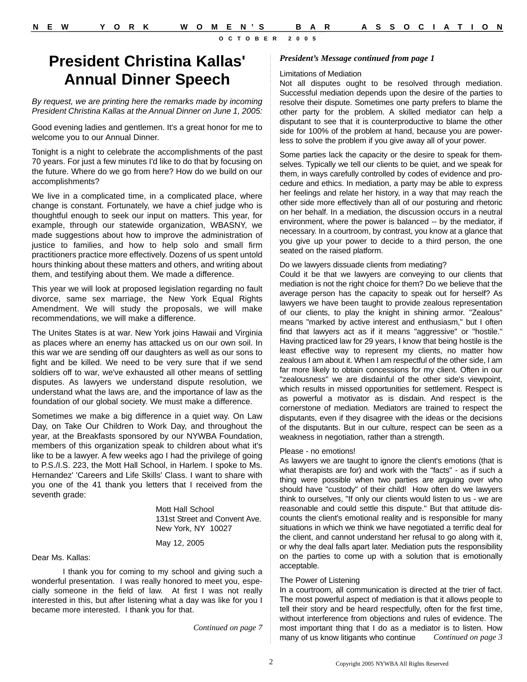# **President Christina Kallas' Annual Dinner Speech**

*By request, we are printing here the remarks made by incoming President Christina Kallas at the Annual Dinner on June 1, 2005:*

Good evening ladies and gentlemen. It's a great honor for me to welcome you to our Annual Dinner.

Tonight is a night to celebrate the accomplishments of the past 70 years. For just a few minutes I'd like to do that by focusing on the future. Where do we go from here? How do we build on our accomplishments?

We live in a complicated time, in a complicated place, where change is constant. Fortunately, we have a chief judge who is thoughtful enough to seek our input on matters. This year, for example, through our statewide organization, WBASNY, we made suggestions about how to improve the administration of justice to families, and how to help solo and small firm practitioners practice more effectively. Dozens of us spent untold hours thinking about these matters and others, and writing about them, and testifying about them. We made a difference.

This year we will look at proposed legislation regarding no fault divorce, same sex marriage, the New York Equal Rights Amendment. We will study the proposals, we will make recommendations, we will make a difference.

The Unites States is at war. New York joins Hawaii and Virginia as places where an enemy has attacked us on our own soil. In this war we are sending off our daughters as well as our sons to fight and be killed. We need to be very sure that if we send soldiers off to war, we've exhausted all other means of settling disputes. As lawyers we understand dispute resolution, we understand what the laws are, and the importance of law as the foundation of our global society. We must make a difference.

Sometimes we make a big difference in a quiet way. On Law Day, on Take Our Children to Work Day, and throughout the year, at the Breakfasts sponsored by our NYWBA Foundation, members of this organization speak to children about what it's like to be a lawyer. A few weeks ago I had the privilege of going to P.S./I.S. 223, the Mott Hall School, in Harlem. I spoke to Ms. Hernandez' 'Careers and Life Skills' Class. I want to share with you one of the 41 thank you letters that I received from the seventh grade:

> Mott Hall School 131st Street and Convent Ave. New York, NY 10027

May 12, 2005

### Dear Ms. Kallas:

I thank you for coming to my school and giving such a wonderful presentation. I was really honored to meet you, especially someone in the field of law. At first I was not really interested in this, but after listening what a day was like for you I became more interested. I thank you for that.

*Continued on page 7*

### *President's Message continued from page 1*

### Limitations of Mediation

Not all disputes ought to be resolved through mediation. Successful mediation depends upon the desire of the parties to resolve their dispute. Sometimes one party prefers to blame the other party for the problem. A skilled mediator can help a disputant to see that it is counterproductive to blame the other side for 100% of the problem at hand, because you are powerless to solve the problem if you give away all of your power.

Some parties lack the capacity or the desire to speak for themselves. Typically we tell our clients to be quiet, and we speak for them, in ways carefully controlled by codes of evidence and procedure and ethics. In mediation, a party may be able to express her feelings and relate her history, in a way that may reach the other side more effectively than all of our posturing and rhetoric on her behalf. In a mediation, the discussion occurs in a neutral environment, where the power is balanced -- by the mediator, if necessary. In a courtroom, by contrast, you know at a glance that you give up your power to decide to a third person, the one seated on the raised platform.

#### Do we lawyers dissuade clients from mediating?

Could it be that we lawyers are conveying to our clients that mediation is not the right choice for them? Do we believe that the average person has the capacity to speak out for herself? As lawyers we have been taught to provide zealous representation of our clients, to play the knight in shining armor. "Zealous" means "marked by active interest and enthusiasm," but I often find that lawyers act as if it means "aggressive" or "hostile." Having practiced law for 29 years, I know that being hostile is the least effective way to represent my clients, no matter how zealous I am about it. When I am respectful of the other side, I am far more likely to obtain concessions for my client. Often in our "zealousness" we are disdainful of the other side's viewpoint, which results in missed opportunities for settlement. Respect is as powerful a motivator as is disdain. And respect is the cornerstone of mediation. Mediators are trained to respect the disputants, even if they disagree with the ideas or the decisions of the disputants. But in our culture, respect can be seen as a weakness in negotiation, rather than a strength.

#### Please - no emotions!

As lawyers we are taught to ignore the client's emotions (that is what therapists are for) and work with the "facts" - as if such a thing were possible when two parties are arguing over who should have "custody" of their child! How often do we lawyers think to ourselves, "If only our clients would listen to us - we are reasonable and could settle this dispute." But that attitude discounts the client's emotional reality and is responsible for many situations in which we think we have negotiated a terrific deal for the client, and cannot understand her refusal to go along with it, or why the deal falls apart later. Mediation puts the responsibility on the parties to come up with a solution that is emotionally acceptable.

### The Power of Listening

In a courtroom, all communication is directed at the trier of fact. The most powerful aspect of mediation is that it allows people to tell their story and be heard respectfully, often for the first time, without interference from objections and rules of evidence. The most important thing that I do as a mediator is to listen. How many of us know litigants who continue *Continued on page 3*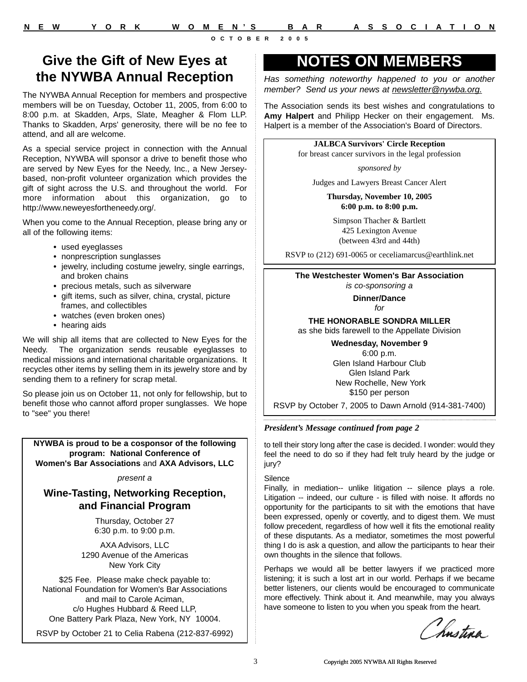## **Give the Gift of New Eyes at the NYWBA Annual Reception**

The NYWBA Annual Reception for members and prospective members will be on Tuesday, October 11, 2005, from 6:00 to 8:00 p.m. at Skadden, Arps, Slate, Meagher & Flom LLP. Thanks to Skadden, Arps' generosity, there will be no fee to attend, and all are welcome.

As a special service project in connection with the Annual Reception, NYWBA will sponsor a drive to benefit those who are served by New Eyes for the Needy, Inc., a New Jerseybased, non-profit volunteer organization which provides the gift of sight across the U.S. and throughout the world. For more information about this organization, go to http://www.neweyesfortheneedy.org/.

When you come to the Annual Reception, please bring any or all of the following items:

- used eyeglasses
- nonprescription sunglasses
- jewelry, including costume jewelry, single earrings, and broken chains
- precious metals, such as silverware
- gift items, such as silver, china, crystal, picture frames, and collectibles
- watches (even broken ones)
- hearing aids

We will ship all items that are collected to New Eyes for the Needy. The organization sends reusable eyeglasses to medical missions and international charitable organizations. It recycles other items by selling them in its jewelry store and by sending them to a refinery for scrap metal.

So please join us on October 11, not only for fellowship, but to benefit those who cannot afford proper sunglasses. We hope to "see" you there!

### **NYWBA is proud to be a cosponsor of the following program: National Conference of Women's Bar Associations** and **AXA Advisors, LLC**

### *present a*

### **Wine-Tasting, Networking Reception, and Financial Program**

Thursday, October 27 6:30 p.m. to 9:00 p.m.

AXA Advisors, LLC 1290 Avenue of the Americas New York City

\$25 Fee. Please make check payable to: National Foundation for Women's Bar Associations and mail to Carole Aciman, c/o Hughes Hubbard & Reed LLP, One Battery Park Plaza, New York, NY 10004.

RSVP by October 21 to Celia Rabena (212-837-6992)

# **NOTES ON MEMBERS**

*Has something noteworthy happened to you or another member? Send us your news at newsletter@nywba.org.*

The Association sends its best wishes and congratulations to **Amy Halpert** and Philipp Hecker on their engagement. Ms. Halpert is a member of the Association's Board of Directors.

**JALBCA Survivors' Circle Reception**

for breast cancer survivors in the legal profession

*sponsored by*

Judges and Lawyers Breast Cancer Alert

**Thursday, November 10, 2005 6:00 p.m. to 8:00 p.m.**

Simpson Thacher & Bartlett 425 Lexington Avenue (between 43rd and 44th)

RSVP to (212) 691-0065 or ceceliamarcus@earthlink.net

### **The Westchester Women's Bar Association**

*is co-sponsoring a*

**Dinner/Dance** *for*

**THE HONORABLE SONDRA MILLER**

as she bids farewell to the Appellate Division

**Wednesday, November 9** 6:00 p.m. Glen Island Harbour Club Glen Island Park New Rochelle, New York \$150 per person

RSVP by October 7, 2005 to Dawn Arnold (914-381-7400)

### *President's Message continued from page 2*

to tell their story long after the case is decided. I wonder: would they feel the need to do so if they had felt truly heard by the judge or jury?

### **Silence**

Finally, in mediation-- unlike litigation -- silence plays a role. Litigation -- indeed, our culture - is filled with noise. It affords no opportunity for the participants to sit with the emotions that have been expressed, openly or covertly, and to digest them. We must follow precedent, regardless of how well it fits the emotional reality of these disputants. As a mediator, sometimes the most powerful thing I do is ask a question, and allow the participants to hear their own thoughts in the silence that follows.

Perhaps we would all be better lawyers if we practiced more listening; it is such a lost art in our world. Perhaps if we became better listeners, our clients would be encouraged to communicate more effectively. Think about it. And meanwhile, may you always have someone to listen to you when you speak from the heart.

Chnstina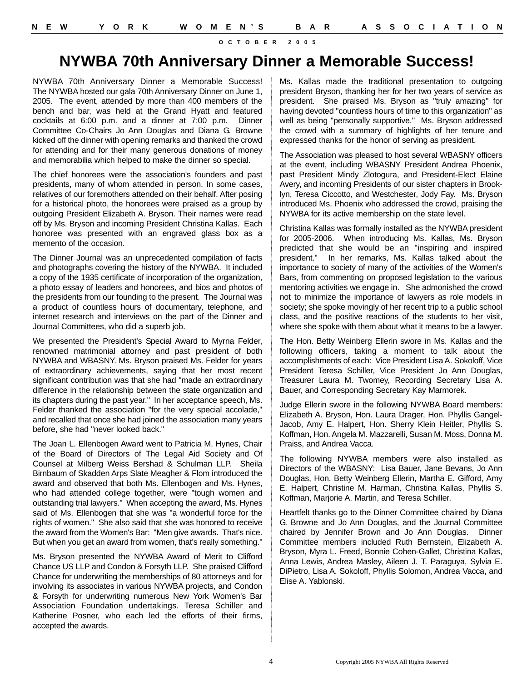# **NYWBA 70th Anniversary Dinner a Memorable Success!**

NYWBA 70th Anniversary Dinner a Memorable Success! The NYWBA hosted our gala 70th Anniversary Dinner on June 1, 2005. The event, attended by more than 400 members of the bench and bar, was held at the Grand Hyatt and featured cocktails at 6:00 p.m. and a dinner at 7:00 p.m. Dinner Committee Co-Chairs Jo Ann Douglas and Diana G. Browne kicked off the dinner with opening remarks and thanked the crowd for attending and for their many generous donations of money and memorabilia which helped to make the dinner so special.

The chief honorees were the association's founders and past presidents, many of whom attended in person. In some cases, relatives of our foremothers attended on their behalf. After posing for a historical photo, the honorees were praised as a group by outgoing President Elizabeth A. Bryson. Their names were read off by Ms. Bryson and incoming President Christina Kallas. Each honoree was presented with an engraved glass box as a memento of the occasion.

The Dinner Journal was an unprecedented compilation of facts and photographs covering the history of the NYWBA. It included a copy of the 1935 certificate of incorporation of the organization, a photo essay of leaders and honorees, and bios and photos of the presidents from our founding to the present. The Journal was a product of countless hours of documentary, telephone, and internet research and interviews on the part of the Dinner and Journal Committees, who did a superb job.

We presented the President's Special Award to Myrna Felder, renowned matrimonial attorney and past president of both NYWBA and WBASNY. Ms. Bryson praised Ms. Felder for years of extraordinary achievements, saying that her most recent significant contribution was that she had "made an extraordinary difference in the relationship between the state organization and its chapters during the past year." In her acceptance speech, Ms. Felder thanked the association "for the very special accolade," and recalled that once she had joined the association many years before, she had "never looked back."

The Joan L. Ellenbogen Award went to Patricia M. Hynes, Chair of the Board of Directors of The Legal Aid Society and Of Counsel at Milberg Weiss Bershad & Schulman LLP. Sheila Birnbaum of Skadden Arps Slate Meagher & Flom introduced the award and observed that both Ms. Ellenbogen and Ms. Hynes, who had attended college together, were "tough women and outstanding trial lawyers." When accepting the award, Ms. Hynes said of Ms. Ellenbogen that she was "a wonderful force for the rights of women." She also said that she was honored to receive the award from the Women's Bar: "Men give awards. That's nice. But when you get an award from women, that's really something."

Ms. Bryson presented the NYWBA Award of Merit to Clifford Chance US LLP and Condon & Forsyth LLP. She praised Clifford Chance for underwriting the memberships of 80 attorneys and for involving its associates in various NYWBA projects, and Condon & Forsyth for underwriting numerous New York Women's Bar Association Foundation undertakings. Teresa Schiller and Katherine Posner, who each led the efforts of their firms, accepted the awards.

Ms. Kallas made the traditional presentation to outgoing president Bryson, thanking her for her two years of service as president. She praised Ms. Bryson as "truly amazing" for having devoted "countless hours of time to this organization" as well as being "personally supportive." Ms. Bryson addressed the crowd with a summary of highlights of her tenure and expressed thanks for the honor of serving as president.

The Association was pleased to host several WBASNY officers at the event, including WBASNY President Andrea Phoenix, past President Mindy Zlotogura, and President-Elect Elaine Avery, and incoming Presidents of our sister chapters in Brooklyn, Teresa Ciccotto, and Westchester, Jody Fay. Ms. Bryson introduced Ms. Phoenix who addressed the crowd, praising the NYWBA for its active membership on the state level.

Christina Kallas was formally installed as the NYWBA president for 2005-2006. When introducing Ms. Kallas, Ms. Bryson predicted that she would be an "inspiring and inspired president." In her remarks, Ms. Kallas talked about the importance to society of many of the activities of the Women's Bars, from commenting on proposed legislation to the various mentoring activities we engage in. She admonished the crowd not to minimize the importance of lawyers as role models in society; she spoke movingly of her recent trip to a public school class, and the positive reactions of the students to her visit, where she spoke with them about what it means to be a lawyer.

The Hon. Betty Weinberg Ellerin swore in Ms. Kallas and the following officers, taking a moment to talk about the accomplishments of each: Vice President Lisa A. Sokoloff, Vice President Teresa Schiller, Vice President Jo Ann Douglas, Treasurer Laura M. Twomey, Recording Secretary Lisa A. Bauer, and Corresponding Secretary Kay Marmorek.

Judge Ellerin swore in the following NYWBA Board members: Elizabeth A. Bryson, Hon. Laura Drager, Hon. Phyllis Gangel-Jacob, Amy E. Halpert, Hon. Sherry Klein Heitler, Phyllis S. Koffman, Hon. Angela M. Mazzarelli, Susan M. Moss, Donna M. Praiss, and Andrea Vacca.

The following NYWBA members were also installed as Directors of the WBASNY: Lisa Bauer, Jane Bevans, Jo Ann Douglas, Hon. Betty Weinberg Ellerin, Martha E. Gifford, Amy E. Halpert, Christine M. Harman, Christina Kallas, Phyllis S. Koffman, Marjorie A. Martin, and Teresa Schiller.

Heartfelt thanks go to the Dinner Committee chaired by Diana G. Browne and Jo Ann Douglas, and the Journal Committee chaired by Jennifer Brown and Jo Ann Douglas. Dinner Committee members included Ruth Bernstein, Elizabeth A. Bryson, Myra L. Freed, Bonnie Cohen-Gallet, Christina Kallas, Anna Lewis, Andrea Masley, Aileen J. T. Paraguya, Sylvia E. DiPietro, Lisa A. Sokoloff, Phyllis Solomon, Andrea Vacca, and Elise A. Yablonski.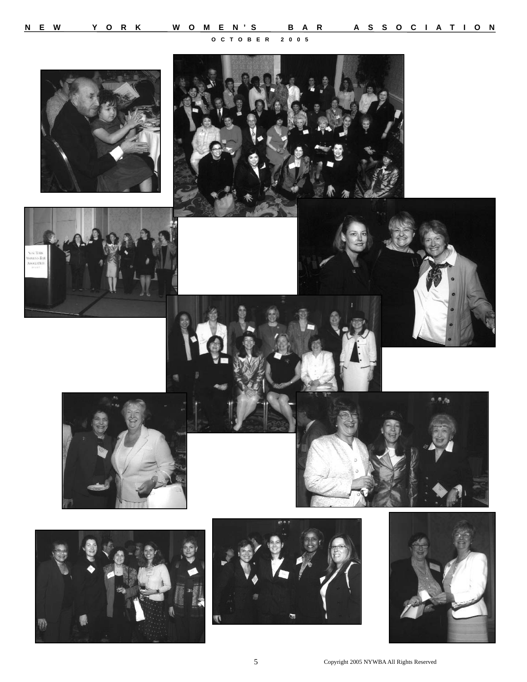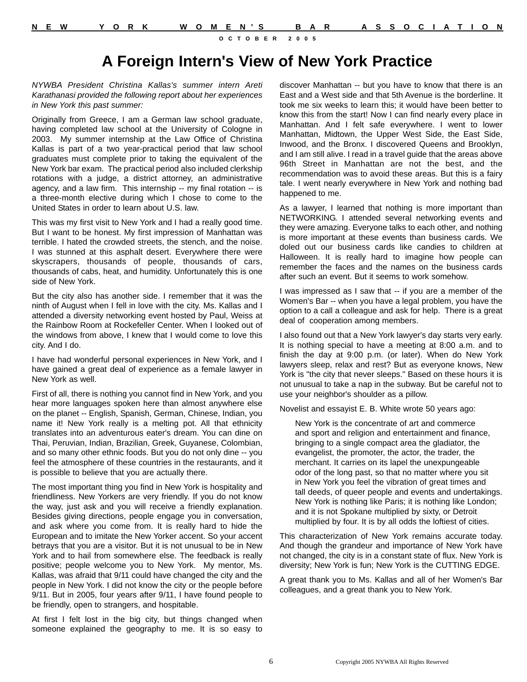# **A Foreign Intern's View of New York Practice**

*NYWBA President Christina Kallas's summer intern Areti Karathanasi provided the following report about her experiences in New York this past summer:*

Originally from Greece, I am a German law school graduate, having completed law school at the University of Cologne in 2003. My summer internship at the Law Office of Christina Kallas is part of a two year-practical period that law school graduates must complete prior to taking the equivalent of the New York bar exam. The practical period also included clerkship rotations with a judge, a district attorney, an administrative agency, and a law firm. This internship -- my final rotation -- is a three-month elective during which I chose to come to the United States in order to learn about U.S. law.

This was my first visit to New York and I had a really good time. But I want to be honest. My first impression of Manhattan was terrible. I hated the crowded streets, the stench, and the noise. I was stunned at this asphalt desert. Everywhere there were skyscrapers, thousands of people, thousands of cars, thousands of cabs, heat, and humidity. Unfortunately this is one side of New York.

But the city also has another side. I remember that it was the ninth of August when I fell in love with the city. Ms. Kallas and I attended a diversity networking event hosted by Paul, Weiss at the Rainbow Room at Rockefeller Center. When I looked out of the windows from above, I knew that I would come to love this city. And I do.

I have had wonderful personal experiences in New York, and I have gained a great deal of experience as a female lawyer in New York as well.

First of all, there is nothing you cannot find in New York, and you hear more languages spoken here than almost anywhere else on the planet -- English, Spanish, German, Chinese, Indian, you name it! New York really is a melting pot. All that ethnicity translates into an adventurous eater's dream. You can dine on Thai, Peruvian, Indian, Brazilian, Greek, Guyanese, Colombian, and so many other ethnic foods. But you do not only dine -- you feel the atmosphere of these countries in the restaurants, and it is possible to believe that you are actually there.

The most important thing you find in New York is hospitality and friendliness. New Yorkers are very friendly. If you do not know the way, just ask and you will receive a friendly explanation. Besides giving directions, people engage you in conversation, and ask where you come from. It is really hard to hide the European and to imitate the New Yorker accent. So your accent betrays that you are a visitor. But it is not unusual to be in New York and to hail from somewhere else. The feedback is really positive; people welcome you to New York. My mentor, Ms. Kallas, was afraid that 9/11 could have changed the city and the people in New York. I did not know the city or the people before 9/11. But in 2005, four years after 9/11, I have found people to be friendly, open to strangers, and hospitable.

At first I felt lost in the big city, but things changed when someone explained the geography to me. It is so easy to discover Manhattan -- but you have to know that there is an East and a West side and that 5th Avenue is the borderline. It took me six weeks to learn this; it would have been better to know this from the start! Now I can find nearly every place in Manhattan. And I felt safe everywhere. I went to lower Manhattan, Midtown, the Upper West Side, the East Side, Inwood, and the Bronx. I discovered Queens and Brooklyn, and I am still alive. I read in a travel guide that the areas above 96th Street in Manhattan are not the best, and the recommendation was to avoid these areas. But this is a fairy tale. I went nearly everywhere in New York and nothing bad happened to me.

As a lawyer, I learned that nothing is more important than NETWORKING. I attended several networking events and they were amazing. Everyone talks to each other, and nothing is more important at these events than business cards. We doled out our business cards like candies to children at Halloween. It is really hard to imagine how people can remember the faces and the names on the business cards after such an event. But it seems to work somehow.

I was impressed as I saw that -- if you are a member of the Women's Bar -- when you have a legal problem, you have the option to a call a colleague and ask for help. There is a great deal of cooperation among members.

I also found out that a New York lawyer's day starts very early. It is nothing special to have a meeting at 8:00 a.m. and to finish the day at 9:00 p.m. (or later). When do New York lawyers sleep, relax and rest? But as everyone knows, New York is "the city that never sleeps." Based on these hours it is not unusual to take a nap in the subway. But be careful not to use your neighbor's shoulder as a pillow.

Novelist and essayist E. B. White wrote 50 years ago:

New York is the concentrate of art and commerce and sport and religion and entertainment and finance, bringing to a single compact area the gladiator, the evangelist, the promoter, the actor, the trader, the merchant. It carries on its lapel the unexpungeable odor of the long past, so that no matter where you sit in New York you feel the vibration of great times and tall deeds, of queer people and events and undertakings. New York is nothing like Paris; it is nothing like London; and it is not Spokane multiplied by sixty, or Detroit multiplied by four. It is by all odds the loftiest of cities.

This characterization of New York remains accurate today. And though the grandeur and importance of New York have not changed, the city is in a constant state of flux. New York is diversity; New York is fun; New York is the CUTTING EDGE.

A great thank you to Ms. Kallas and all of her Women's Bar colleagues, and a great thank you to New York.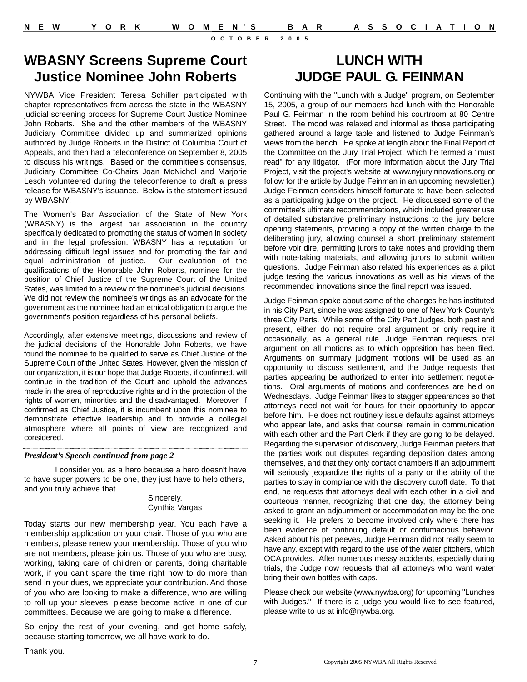## **WBASNY Screens Supreme Court Justice Nominee John Roberts**

NYWBA Vice President Teresa Schiller participated with chapter representatives from across the state in the WBASNY judicial screening process for Supreme Court Justice Nominee John Roberts. She and the other members of the WBASNY Judiciary Committee divided up and summarized opinions authored by Judge Roberts in the District of Columbia Court of Appeals, and then had a teleconference on September 8, 2005 to discuss his writings. Based on the committee's consensus, Judiciary Committee Co-Chairs Joan McNichol and Marjorie Lesch volunteered during the teleconference to draft a press release for WBASNY's issuance. Below is the statement issued by WBASNY:

The Women's Bar Association of the State of New York (WBASNY) is the largest bar association in the country specifically dedicated to promoting the status of women in society and in the legal profession. WBASNY has a reputation for addressing difficult legal issues and for promoting the fair and equal administration of justice. Our evaluation of the qualifications of the Honorable John Roberts, nominee for the position of Chief Justice of the Supreme Court of the United States, was limited to a review of the nominee's judicial decisions. We did not review the nominee's writings as an advocate for the government as the nominee had an ethical obligation to argue the government's position regardless of his personal beliefs.

Accordingly, after extensive meetings, discussions and review of the judicial decisions of the Honorable John Roberts, we have found the nominee to be qualified to serve as Chief Justice of the Supreme Court of the United States. However, given the mission of our organization, it is our hope that Judge Roberts, if confirmed, will continue in the tradition of the Court and uphold the advances made in the area of reproductive rights and in the protection of the rights of women, minorities and the disadvantaged. Moreover, if confirmed as Chief Justice, it is incumbent upon this nominee to demonstrate effective leadership and to provide a collegial atmosphere where all points of view are recognized and considered.

### *President's Speech continued from page 2*

I consider you as a hero because a hero doesn't have to have super powers to be one, they just have to help others, and you truly achieve that.

> Sincerely, Cynthia Vargas

Today starts our new membership year. You each have a membership application on your chair. Those of you who are members, please renew your membership. Those of you who are not members, please join us. Those of you who are busy, working, taking care of children or parents, doing charitable work, if you can't spare the time right now to do more than send in your dues, we appreciate your contribution. And those of you who are looking to make a difference, who are willing to roll up your sleeves, please become active in one of our committees. Because we are going to make a difference.

So enjoy the rest of your evening, and get home safely, because starting tomorrow, we all have work to do.

## **LUNCH WITH JUDGE PAUL G. FEINMAN**

Continuing with the "Lunch with a Judge" program, on September 15, 2005, a group of our members had lunch with the Honorable Paul G. Feinman in the room behind his courtroom at 80 Centre Street. The mood was relaxed and informal as those participating gathered around a large table and listened to Judge Feinman's views from the bench. He spoke at length about the Final Report of the Committee on the Jury Trial Project, which he termed a "must read" for any litigator. (For more information about the Jury Trial Project, visit the project's website at www.nyjuryinnovations.org or follow for the article by Judge Feinman in an upcoming newsletter.) Judge Feinman considers himself fortunate to have been selected as a participating judge on the project. He discussed some of the committee's ultimate recommendations, which included greater use of detailed substantive preliminary instructions to the jury before opening statements, providing a copy of the written charge to the deliberating jury, allowing counsel a short preliminary statement before voir dire, permitting jurors to take notes and providing them with note-taking materials, and allowing jurors to submit written questions. Judge Feinman also related his experiences as a pilot judge testing the various innovations as well as his views of the recommended innovations since the final report was issued.

Judge Feinman spoke about some of the changes he has instituted in his City Part, since he was assigned to one of New York County's three City Parts. While some of the City Part Judges, both past and present, either do not require oral argument or only require it occasionally, as a general rule, Judge Feinman requests oral argument on all motions as to which opposition has been filed. Arguments on summary judgment motions will be used as an opportunity to discuss settlement, and the Judge requests that parties appearing be authorized to enter into settlement negotiations. Oral arguments of motions and conferences are held on Wednesdays. Judge Feinman likes to stagger appearances so that attorneys need not wait for hours for their opportunity to appear before him. He does not routinely issue defaults against attorneys who appear late, and asks that counsel remain in communication with each other and the Part Clerk if they are going to be delayed. Regarding the supervision of discovery, Judge Feinman prefers that the parties work out disputes regarding deposition dates among themselves, and that they only contact chambers if an adjournment will seriously jeopardize the rights of a party or the ability of the parties to stay in compliance with the discovery cutoff date. To that end, he requests that attorneys deal with each other in a civil and courteous manner, recognizing that one day, the attorney being asked to grant an adjournment or accommodation may be the one seeking it. He prefers to become involved only where there has been evidence of continuing default or contumacious behavior. Asked about his pet peeves, Judge Feinman did not really seem to have any, except with regard to the use of the water pitchers, which OCA provides. After numerous messy accidents, especially during trials, the Judge now requests that all attorneys who want water bring their own bottles with caps.

Please check our website (www.nywba.org) for upcoming "Lunches with Judges." If there is a judge you would like to see featured, please write to us at info@nywba.org.

Thank you.